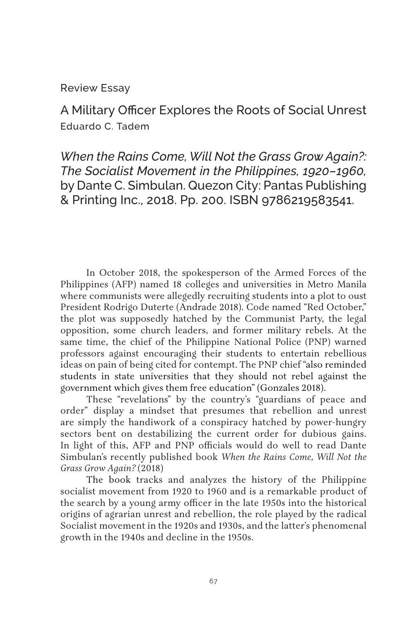Review Essay

A Military Officer Explores the Roots of Social Unrest Eduardo C. Tadem

*When the Rains Come, Will Not the Grass Grow Again?: The Socialist Movement in the Philippines, 1920–1960,* by Dante C. Simbulan. Quezon City: Pantas Publishing & Printing Inc., 2018. Pp. 200. ISBN 9786219583541.

In October 2018, the spokesperson of the Armed Forces of the Philippines (AFP) named 18 colleges and universities in Metro Manila where communists were allegedly recruiting students into a plot to oust President Rodrigo Duterte (Andrade 2018). Code named "Red October," the plot was supposedly hatched by the Communist Party, the legal opposition, some church leaders, and former military rebels. At the same time, the chief of the Philippine National Police (PNP) warned professors against encouraging their students to entertain rebellious ideas on pain of being cited for contempt. The PNP chief "also reminded students in state universities that they should not rebel against the government which gives them free education" (Gonzales 2018).

These "revelations" by the country's "guardians of peace and order" display a mindset that presumes that rebellion and unrest are simply the handiwork of a conspiracy hatched by power-hungry sectors bent on destabilizing the current order for dubious gains. In light of this, AFP and PNP officials would do well to read Dante Simbulan's recently published book *When the Rains Come, Will Not the Grass Grow Again?* (2018)

The book tracks and analyzes the history of the Philippine socialist movement from 1920 to 1960 and is a remarkable product of the search by a young army officer in the late 1950s into the historical origins of agrarian unrest and rebellion, the role played by the radical Socialist movement in the 1920s and 1930s, and the latter's phenomenal growth in the 1940s and decline in the 1950s.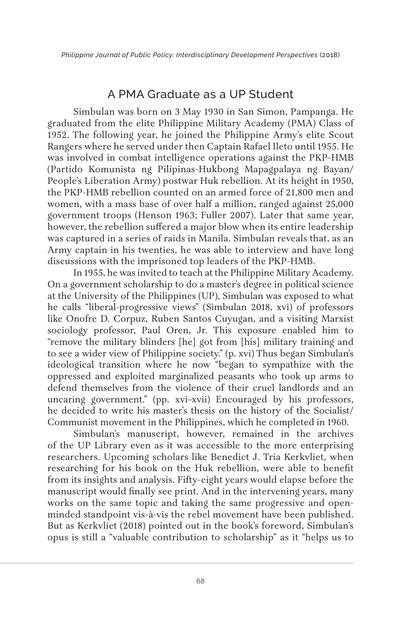## A PMA Graduate as a UP Student

Simbulan was born on 3 May 1930 in San Simon, Pampanga. He graduated from the elite Philippine Military Academy (PMA) Class of 1952. The following year, he joined the Philippine Army's elite Scout Rangers where he served under then Captain Rafael Ileto until 1955. He was involved in combat intelligence operations against the PKP-HMB (Partido Komunista ng Pilipinas-Hukbong Mapagpalaya ng Bayan/ People's Liberation Army) postwar Huk rebellion. At its height in 1950, the PKP-HMB rebellion counted on an armed force of 21,800 men and women, with a mass base of over half a million, ranged against 25,000 government troops (Henson 1963; Fuller 2007). Later that same year, however, the rebellion suffered a major blow when its entire leadership was captured in a series of raids in Manila. Simbulan reveals that, as an Army captain in his twenties, he was able to interview and have long discussions with the imprisoned top leaders of the PKP-HMB.

In 1955, he was invited to teach at the Philippine Military Academy. On a government scholarship to do a master's degree in political science at the University of the Philippines (UP), Simbulan was exposed to what he calls "liberal-progressive views" (Simbulan 2018, xvi) of professors like Onofre D. Corpuz, Ruben Santos Cuyugan, and a visiting Marxist sociology professor, Paul Oren, Jr. This exposure enabled him to "remove the military blinders [he] got from [his] military training and to see a wider view of Philippine society." (p. xvi) Thus began Simbulan's ideological transition where he now "began to sympathize with the oppressed and exploited marginalized peasants who took up arms to defend themselves from the violence of their cruel landlords and an uncaring government." (pp. xvi–xvii) Encouraged by his professors, he decided to write his master's thesis on the history of the Socialist/ Communist movement in the Philippines, which he completed in 1960.

Simbulan's manuscript, however, remained in the archives of the UP Library even as it was accessible to the more enterprising researchers. Upcoming scholars like Benedict J. Tria Kerkvliet, when researching for his book on the Huk rebellion, were able to benefit from its insights and analysis. Fifty-eight years would elapse before the manuscript would finally see print. And in the intervening years, many works on the same topic and taking the same progressive and openminded standpoint vis-à-vis the rebel movement have been published. But as Kerkvliet (2018) pointed out in the book's foreword, Simbulan's opus is still a "valuable contribution to scholarship" as it "helps us to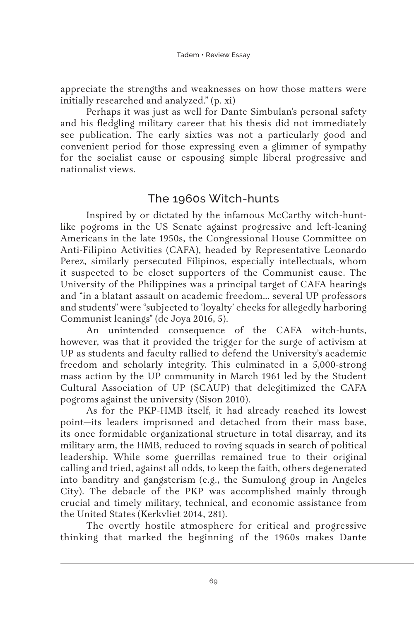appreciate the strengths and weaknesses on how those matters were initially researched and analyzed." (p. xi)

Perhaps it was just as well for Dante Simbulan's personal safety and his fledgling military career that his thesis did not immediately see publication. The early sixties was not a particularly good and convenient period for those expressing even a glimmer of sympathy for the socialist cause or espousing simple liberal progressive and nationalist views.

### The 1960s Witch-hunts

Inspired by or dictated by the infamous McCarthy witch-huntlike pogroms in the US Senate against progressive and left-leaning Americans in the late 1950s, the Congressional House Committee on Anti-Filipino Activities (CAFA), headed by Representative Leonardo Perez, similarly persecuted Filipinos, especially intellectuals, whom it suspected to be closet supporters of the Communist cause. The University of the Philippines was a principal target of CAFA hearings and "in a blatant assault on academic freedom… several UP professors and students" were "subjected to 'loyalty' checks for allegedly harboring Communist leanings" (de Joya 2016, 5).

An unintended consequence of the CAFA witch-hunts, however, was that it provided the trigger for the surge of activism at UP as students and faculty rallied to defend the University's academic freedom and scholarly integrity. This culminated in a 5,000-strong mass action by the UP community in March 1961 led by the Student Cultural Association of UP (SCAUP) that delegitimized the CAFA pogroms against the university (Sison 2010).

As for the PKP-HMB itself, it had already reached its lowest point—its leaders imprisoned and detached from their mass base, its once formidable organizational structure in total disarray, and its military arm, the HMB, reduced to roving squads in search of political leadership. While some guerrillas remained true to their original calling and tried, against all odds, to keep the faith, others degenerated into banditry and gangsterism (e.g., the Sumulong group in Angeles City). The debacle of the PKP was accomplished mainly through crucial and timely military, technical, and economic assistance from the United States (Kerkvliet 2014, 281).

The overtly hostile atmosphere for critical and progressive thinking that marked the beginning of the 1960s makes Dante

69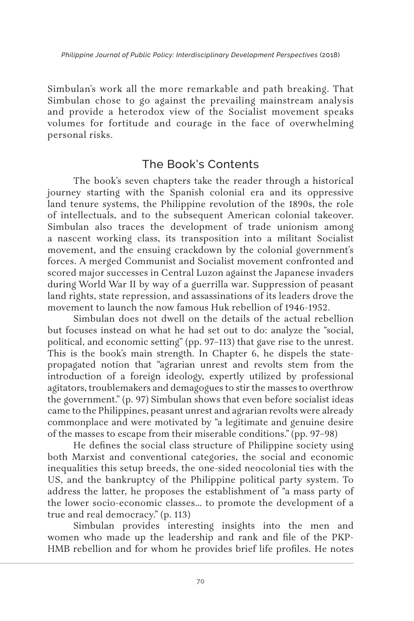Simbulan's work all the more remarkable and path breaking. That Simbulan chose to go against the prevailing mainstream analysis and provide a heterodox view of the Socialist movement speaks volumes for fortitude and courage in the face of overwhelming personal risks.

## The Book's Contents

The book's seven chapters take the reader through a historical journey starting with the Spanish colonial era and its oppressive land tenure systems, the Philippine revolution of the 1890s, the role of intellectuals, and to the subsequent American colonial takeover. Simbulan also traces the development of trade unionism among a nascent working class, its transposition into a militant Socialist movement, and the ensuing crackdown by the colonial government's forces. A merged Communist and Socialist movement confronted and scored major successes in Central Luzon against the Japanese invaders during World War II by way of a guerrilla war. Suppression of peasant land rights, state repression, and assassinations of its leaders drove the movement to launch the now famous Huk rebellion of 1946-1952.

Simbulan does not dwell on the details of the actual rebellion but focuses instead on what he had set out to do: analyze the "social, political, and economic setting" (pp. 97–113) that gave rise to the unrest. This is the book's main strength. In Chapter 6, he dispels the statepropagated notion that "agrarian unrest and revolts stem from the introduction of a foreign ideology, expertly utilized by professional agitators, troublemakers and demagogues to stir the masses to overthrow the government." (p. 97) Simbulan shows that even before socialist ideas came to the Philippines, peasant unrest and agrarian revolts were already commonplace and were motivated by "a legitimate and genuine desire of the masses to escape from their miserable conditions." (pp. 97–98)

He defines the social class structure of Philippine society using both Marxist and conventional categories, the social and economic inequalities this setup breeds, the one-sided neocolonial ties with the US, and the bankruptcy of the Philippine political party system. To address the latter, he proposes the establishment of "a mass party of the lower socio-economic classes… to promote the development of a true and real democracy." (p. 113)

Simbulan provides interesting insights into the men and women who made up the leadership and rank and file of the PKP-HMB rebellion and for whom he provides brief life profiles. He notes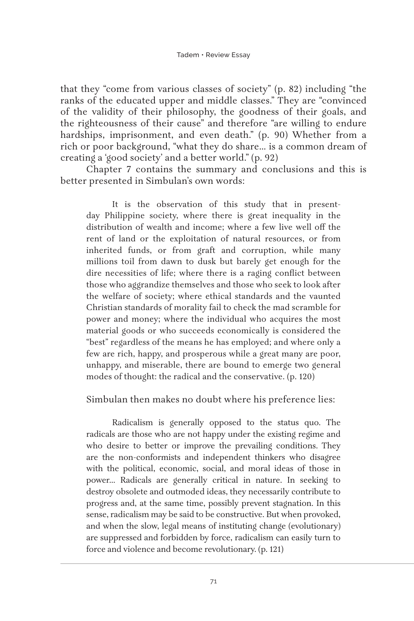that they "come from various classes of society" (p. 82) including "the ranks of the educated upper and middle classes." They are "convinced of the validity of their philosophy, the goodness of their goals, and the righteousness of their cause" and therefore "are willing to endure hardships, imprisonment, and even death." (p. 90) Whether from a rich or poor background, "what they do share… is a common dream of creating a 'good society' and a better world." (p. 92)

Chapter 7 contains the summary and conclusions and this is better presented in Simbulan's own words:

It is the observation of this study that in presentday Philippine society, where there is great inequality in the distribution of wealth and income; where a few live well off the rent of land or the exploitation of natural resources, or from inherited funds, or from graft and corruption, while many millions toil from dawn to dusk but barely get enough for the dire necessities of life; where there is a raging conflict between those who aggrandize themselves and those who seek to look after the welfare of society; where ethical standards and the vaunted Christian standards of morality fail to check the mad scramble for power and money; where the individual who acquires the most material goods or who succeeds economically is considered the "best" regardless of the means he has employed; and where only a few are rich, happy, and prosperous while a great many are poor, unhappy, and miserable, there are bound to emerge two general modes of thought: the radical and the conservative. (p. 120)

Simbulan then makes no doubt where his preference lies:

Radicalism is generally opposed to the status quo. The radicals are those who are not happy under the existing regime and who desire to better or improve the prevailing conditions. They are the non-conformists and independent thinkers who disagree with the political, economic, social, and moral ideas of those in power… Radicals are generally critical in nature. In seeking to destroy obsolete and outmoded ideas, they necessarily contribute to progress and, at the same time, possibly prevent stagnation. In this sense, radicalism may be said to be constructive. But when provoked, and when the slow, legal means of instituting change (evolutionary) are suppressed and forbidden by force, radicalism can easily turn to force and violence and become revolutionary. (p. 121)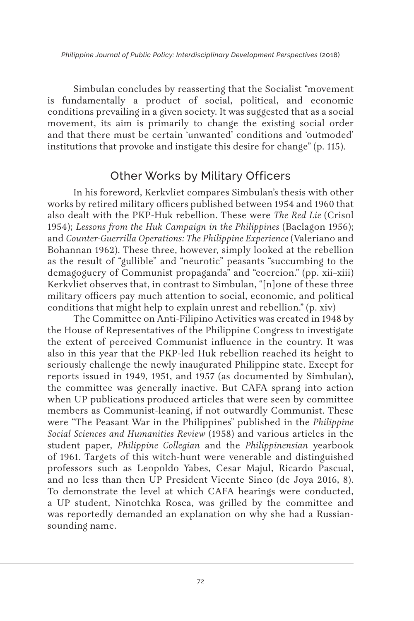*Philippine Journal of Public Policy: Interdisciplinary Development Perspectives* (2018)

Simbulan concludes by reasserting that the Socialist "movement is fundamentally a product of social, political, and economic conditions prevailing in a given society. It was suggested that as a social movement, its aim is primarily to change the existing social order and that there must be certain 'unwanted' conditions and 'outmoded' institutions that provoke and instigate this desire for change" (p. 115).

## Other Works by Military Officers

In his foreword, Kerkvliet compares Simbulan's thesis with other works by retired military officers published between 1954 and 1960 that also dealt with the PKP-Huk rebellion. These were *The Red Lie* (Crisol 1954); *Lessons from the Huk Campaign in the Philippines* (Baclagon 1956); and *Counter-Guerrilla Operations: The Philippine Experience* (Valeriano and Bohannan 1962). These three, however, simply looked at the rebellion as the result of "gullible" and "neurotic" peasants "succumbing to the demagoguery of Communist propaganda" and "coercion." (pp. xii–xiii) Kerkvliet observes that, in contrast to Simbulan, "[n]one of these three military officers pay much attention to social, economic, and political conditions that might help to explain unrest and rebellion." (p. xiv)

The Committee on Anti-Filipino Activities was created in 1948 by the House of Representatives of the Philippine Congress to investigate the extent of perceived Communist influence in the country. It was also in this year that the PKP-led Huk rebellion reached its height to seriously challenge the newly inaugurated Philippine state. Except for reports issued in 1949, 1951, and 1957 (as documented by Simbulan), the committee was generally inactive. But CAFA sprang into action when UP publications produced articles that were seen by committee members as Communist-leaning, if not outwardly Communist. These were "The Peasant War in the Philippines" published in the *Philippine Social Sciences and Humanities Review* (1958) and various articles in the student paper, *Philippine Collegian* and the *Philippinensian* yearbook of 1961. Targets of this witch-hunt were venerable and distinguished professors such as Leopoldo Yabes, Cesar Majul, Ricardo Pascual, and no less than then UP President Vicente Sinco (de Joya 2016, 8). To demonstrate the level at which CAFA hearings were conducted, a UP student, Ninotchka Rosca, was grilled by the committee and was reportedly demanded an explanation on why she had a Russiansounding name.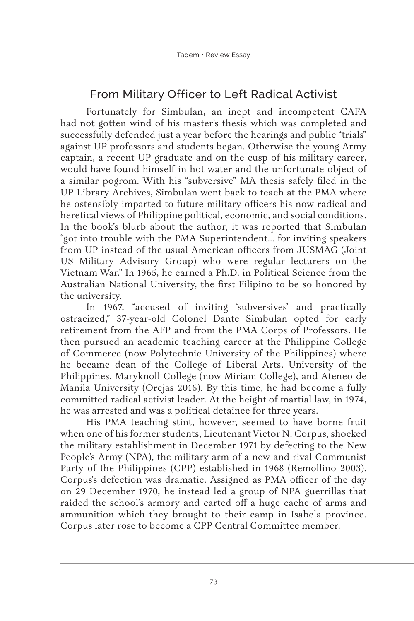# From Military Officer to Left Radical Activist

Fortunately for Simbulan, an inept and incompetent CAFA had not gotten wind of his master's thesis which was completed and successfully defended just a year before the hearings and public "trials" against UP professors and students began. Otherwise the young Army captain, a recent UP graduate and on the cusp of his military career, would have found himself in hot water and the unfortunate object of a similar pogrom. With his "subversive" MA thesis safely filed in the UP Library Archives, Simbulan went back to teach at the PMA where he ostensibly imparted to future military officers his now radical and heretical views of Philippine political, economic, and social conditions. In the book's blurb about the author, it was reported that Simbulan "got into trouble with the PMA Superintendent… for inviting speakers from UP instead of the usual American officers from JUSMAG (Joint US Military Advisory Group) who were regular lecturers on the Vietnam War." In 1965, he earned a Ph.D. in Political Science from the Australian National University, the first Filipino to be so honored by the university.

In 1967, "accused of inviting 'subversives' and practically ostracized," 37-year-old Colonel Dante Simbulan opted for early retirement from the AFP and from the PMA Corps of Professors. He then pursued an academic teaching career at the Philippine College of Commerce (now Polytechnic University of the Philippines) where he became dean of the College of Liberal Arts, University of the Philippines, Maryknoll College (now Miriam College), and Ateneo de Manila University (Orejas 2016). By this time, he had become a fully committed radical activist leader. At the height of martial law, in 1974, he was arrested and was a political detainee for three years.

His PMA teaching stint, however, seemed to have borne fruit when one of his former students, Lieutenant Victor N. Corpus, shocked the military establishment in December 1971 by defecting to the New People's Army (NPA), the military arm of a new and rival Communist Party of the Philippines (CPP) established in 1968 (Remollino 2003). Corpus's defection was dramatic. Assigned as PMA officer of the day on 29 December 1970, he instead led a group of NPA guerrillas that raided the school's armory and carted off a huge cache of arms and ammunition which they brought to their camp in Isabela province. Corpus later rose to become a CPP Central Committee member.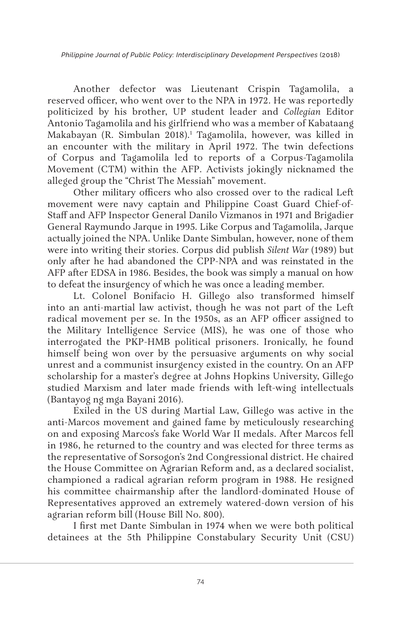*Philippine Journal of Public Policy: Interdisciplinary Development Perspectives* (2018)

Another defector was Lieutenant Crispin Tagamolila, a reserved officer, who went over to the NPA in 1972. He was reportedly politicized by his brother, UP student leader and *Collegian* Editor Antonio Tagamolila and his girlfriend who was a member of Kabataang Makabayan (R. Simbulan 2018).1 Tagamolila, however, was killed in an encounter with the military in April 1972. The twin defections of Corpus and Tagamolila led to reports of a Corpus-Tagamolila Movement (CTM) within the AFP. Activists jokingly nicknamed the alleged group the "Christ The Messiah" movement.

Other military officers who also crossed over to the radical Left movement were navy captain and Philippine Coast Guard Chief-of-Staff and AFP Inspector General Danilo Vizmanos in 1971 and Brigadier General Raymundo Jarque in 1995. Like Corpus and Tagamolila, Jarque actually joined the NPA. Unlike Dante Simbulan, however, none of them were into writing their stories. Corpus did publish *Silent War* (1989) but only after he had abandoned the CPP-NPA and was reinstated in the AFP after EDSA in 1986. Besides, the book was simply a manual on how to defeat the insurgency of which he was once a leading member.

Lt. Colonel Bonifacio H. Gillego also transformed himself into an anti-martial law activist, though he was not part of the Left radical movement per se*.* In the 1950s, as an AFP officer assigned to the Military Intelligence Service (MIS), he was one of those who interrogated the PKP-HMB political prisoners. Ironically, he found himself being won over by the persuasive arguments on why social unrest and a communist insurgency existed in the country. On an AFP scholarship for a master's degree at Johns Hopkins University, Gillego studied Marxism and later made friends with left-wing intellectuals (Bantayog ng mga Bayani 2016).

Exiled in the US during Martial Law, Gillego was active in the anti-Marcos movement and gained fame by meticulously researching on and exposing Marcos's fake World War II medals. After Marcos fell in 1986, he returned to the country and was elected for three terms as the representative of Sorsogon's 2nd Congressional district. He chaired the House Committee on Agrarian Reform and, as a declared socialist, championed a radical agrarian reform program in 1988. He resigned his committee chairmanship after the landlord-dominated House of Representatives approved an extremely watered-down version of his agrarian reform bill (House Bill No. 800).

I first met Dante Simbulan in 1974 when we were both political detainees at the 5th Philippine Constabulary Security Unit (CSU)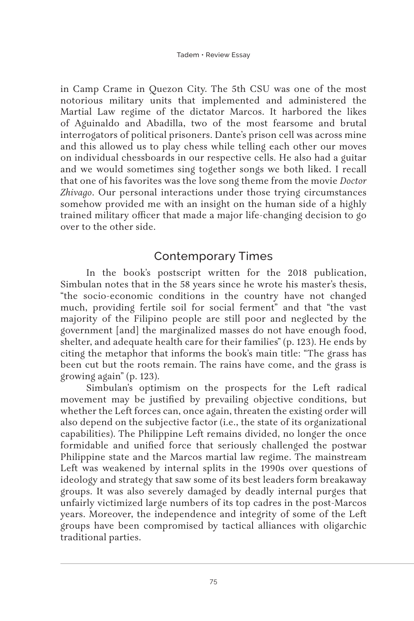in Camp Crame in Quezon City. The 5th CSU was one of the most notorious military units that implemented and administered the Martial Law regime of the dictator Marcos. It harbored the likes of Aguinaldo and Abadilla, two of the most fearsome and brutal interrogators of political prisoners. Dante's prison cell was across mine and this allowed us to play chess while telling each other our moves on individual chessboards in our respective cells. He also had a guitar and we would sometimes sing together songs we both liked. I recall that one of his favorites was the love song theme from the movie *Doctor Zhivago*. Our personal interactions under those trying circumstances somehow provided me with an insight on the human side of a highly trained military officer that made a major life-changing decision to go over to the other side.

## Contemporary Times

In the book's postscript written for the 2018 publication, Simbulan notes that in the 58 years since he wrote his master's thesis, "the socio-economic conditions in the country have not changed much, providing fertile soil for social ferment" and that "the vast majority of the Filipino people are still poor and neglected by the government [and] the marginalized masses do not have enough food, shelter, and adequate health care for their families" (p. 123). He ends by citing the metaphor that informs the book's main title: "The grass has been cut but the roots remain. The rains have come, and the grass is growing again" (p. 123).

Simbulan's optimism on the prospects for the Left radical movement may be justified by prevailing objective conditions, but whether the Left forces can, once again, threaten the existing order will also depend on the subjective factor (i.e., the state of its organizational capabilities). The Philippine Left remains divided, no longer the once formidable and unified force that seriously challenged the postwar Philippine state and the Marcos martial law regime. The mainstream Left was weakened by internal splits in the 1990s over questions of ideology and strategy that saw some of its best leaders form breakaway groups. It was also severely damaged by deadly internal purges that unfairly victimized large numbers of its top cadres in the post-Marcos years. Moreover, the independence and integrity of some of the Left groups have been compromised by tactical alliances with oligarchic traditional parties.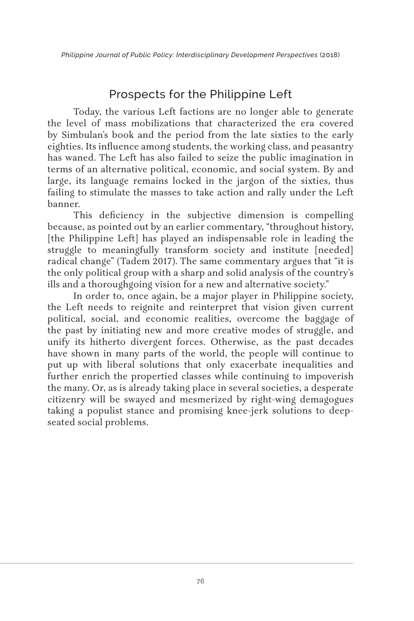## Prospects for the Philippine Left

Today, the various Left factions are no longer able to generate the level of mass mobilizations that characterized the era covered by Simbulan's book and the period from the late sixties to the early eighties. Its influence among students, the working class, and peasantry has waned. The Left has also failed to seize the public imagination in terms of an alternative political, economic, and social system. By and large, its language remains locked in the jargon of the sixties, thus failing to stimulate the masses to take action and rally under the Left banner.

This deficiency in the subjective dimension is compelling because, as pointed out by an earlier commentary, "throughout history, [the Philippine Left] has played an indispensable role in leading the struggle to meaningfully transform society and institute [needed] radical change" (Tadem 2017). The same commentary argues that "it is the only political group with a sharp and solid analysis of the country's ills and a thoroughgoing vision for a new and alternative society."

In order to, once again, be a major player in Philippine society, the Left needs to reignite and reinterpret that vision given current political, social, and economic realities, overcome the baggage of the past by initiating new and more creative modes of struggle, and unify its hitherto divergent forces. Otherwise, as the past decades have shown in many parts of the world, the people will continue to put up with liberal solutions that only exacerbate inequalities and further enrich the propertied classes while continuing to impoverish the many. Or, as is already taking place in several societies, a desperate citizenry will be swayed and mesmerized by right-wing demagogues taking a populist stance and promising knee-jerk solutions to deepseated social problems.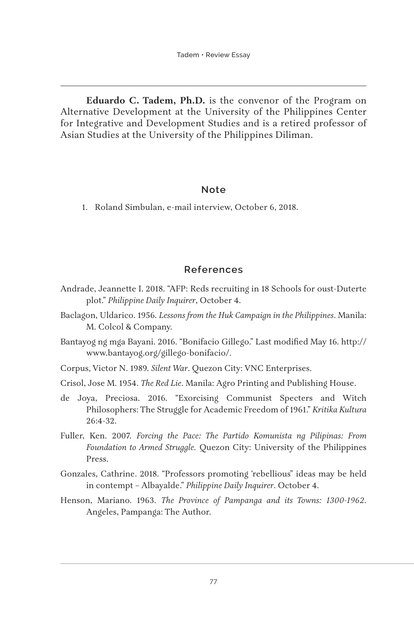**Eduardo C. Tadem, Ph.D.** is the convenor of the Program on Alternative Development at the University of the Philippines Center for Integrative and Development Studies and is a retired professor of Asian Studies at the University of the Philippines Diliman.

#### **Note**

1. Roland Simbulan, e-mail interview, October 6, 2018.

#### **References**

- Andrade, Jeannette I. 2018. "AFP: Reds recruiting in 18 Schools for oust-Duterte plot." *Philippine Daily Inquirer*, October 4.
- Baclagon, Uldarico. 1956. *Lessons from the Huk Campaign in the Philippines*. Manila: M. Colcol & Company.
- Bantayog ng mga Bayani. 2016. "Bonifacio Gillego." Last modified May 16. http:// www.bantayog.org/gillego-bonifacio/.
- Corpus, Victor N. 1989. *Silent War*. Quezon City: VNC Enterprises.
- Crisol, Jose M. 1954. *The Red Lie*. Manila: Agro Printing and Publishing House.
- de Joya, Preciosa. 2016. "Exorcising Communist Specters and Witch Philosophers: The Struggle for Academic Freedom of 1961." *Kritika Kultura* 26:4-32.
- Fuller, Ken. 2007. *Forcing the Pace: The Partido Komunista ng Pilipinas: From Foundation to Armed Struggle.* Quezon City: University of the Philippines Press.
- Gonzales, Cathrine. 2018. "Professors promoting 'rebellious" ideas may be held in contempt – Albayalde." *Philippine Daily Inquirer*. October 4.
- Henson, Mariano. 1963. *The Province of Pampanga and its Towns: 1300-1962*. Angeles, Pampanga: The Author.